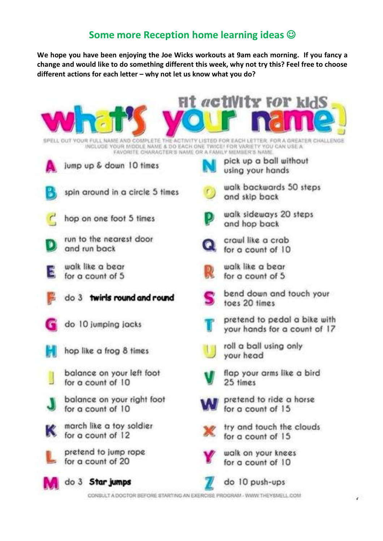## **Some more Reception home learning ideas** ☺

**We hope you have been enjoying the Joe Wicks workouts at 9am each morning. If you fancy a change and would like to do something different this week, why not try this? Feel free to choose different actions for each letter – why not let us know what you do?**



CONSULT A DOCTOR BEFORE STARTING AN EXERCISE PROGRAM - WWW.THEYSMELL.COM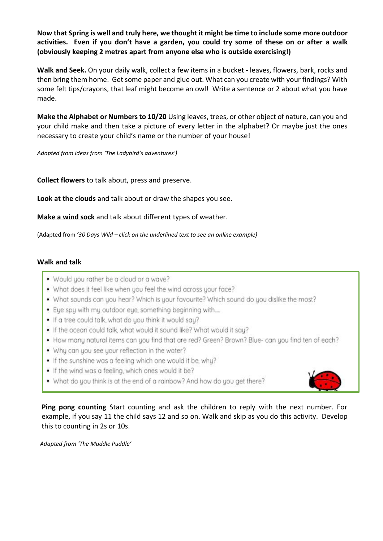Now that Spring is well and truly here, we thought it might be time to include some more outdoor **activities. Even if you don't have a garden, you could try some of these on or after a walk (obviously keeping 2 metres apart from anyone else who is outside exercising!)**

**Walk and Seek.** On your daily walk, collect a few items in a bucket - leaves, flowers, bark, rocks and then bring them home. Get some paper and glue out. What can you create with your findings? With some felt tips/crayons, that leaf might become an owl! Write a sentence or 2 about what you have made.

**Make the Alphabet or Numbersto 10/20** Using leaves, trees, or other object of nature, can you and your child make and then take a picture of every letter in the alphabet? Or maybe just the ones necessary to create your child's name or the number of your house!

*Adapted from ideas from 'The Ladybird's adventures')*

**Collect flowers** to talk about, press and preserve.

**Look at the clouds** and talk about or draw the shapes you see.

**[Make](https://www.youtube.com/watch?v=YNcCvGBRdLw) a wind sock** and talk about different types of weather.

(Adapted from *'30 Days Wild – click on the underlined text to see an online example)*

## **Walk and talk**

- . Would you rather be a cloud or a wave?
- What does it feel like when you feel the wind across your face?
- . What sounds can you hear? Which is your favourite? Which sound do you dislike the most?
- . Eye spy with my outdoor eye, something beginning with....
- . If a tree could talk, what do you think it would say?
- . If the ocean could talk, what would it sound like? What would it say?
- How many natural items can you find that are red? Green? Brown? Blue- can you find ten of each?
- Why can you see your reflection in the water?
- . If the sunshine was a feeling which one would it be, why?
- If the wind was a feeling, which ones would it be?
- . What do you think is at the end of a rainbow? And how do you get there?



**Ping pong counting** Start counting and ask the children to reply with the next number. For example, if you say 11 the child says 12 and so on. Walk and skip as you do this activity. Develop this to counting in 2s or 10s.

 *Adapted from 'The Muddle Puddle'*